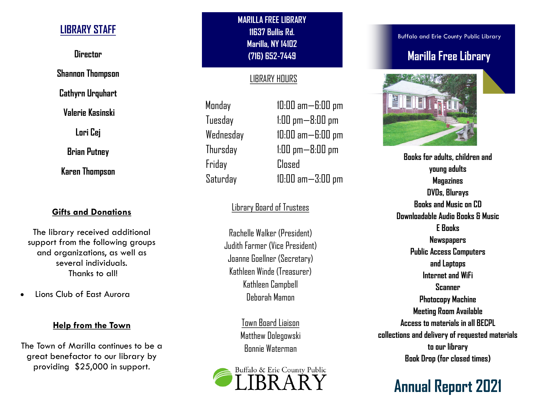## **LIBRARY STAFF**

**Director**

**Shannon Thompson**

**Cathyrn Urquhart**

**Valerie Kasinski**

**Lori Cej**

**Brian Putney**

**Karen Thompson**

## **Gifts and Donations**

The library received additional support from the following groups and organizations, as well as several individuals. Thanks to all!

Lions Club of East Aurora

### **Help from the Town**

The Town of Marilla continues to be a great benefactor to our library by providing \$25,000 in support.

**MARILLA FREE LIBRARY 11637 Bullis Rd. Marilla, NY 14102 (716) 652-7449** 

## LIBRARY HOURS

Monday 10:00 am—6:00 pm Friday Closed

Tuesday 1:00 pm—8:00 pm Wednesday 10:00 am—6:00 pm Thursday 1:00 pm—8:00 pm Saturday 10:00 am—3:00 pm

## Library Board of Trustees

Rachelle Walker (President) Judith Farmer (Vice President) Joanne Goellner (Secretary) Kathleen Winde (Treasurer) Kathleen Campbell Deborah Mamon

> Town Board Liaison Matthew Dolegowski Bonnie Waterman



Buffalo and Erie County Public Library

## **Marilla Free Library**



**Books for adults, children and young adults Magazines DVDs, Blurays Books and Music on CD Downloadable Audio Books & Music E Books Newspapers Public Access Computers and Laptops Internet and WiFi Scanner Photocopy Machine Meeting Room Available Access to materials in all BECPL collections and delivery of requested materials to our library Book Drop (for closed times)**